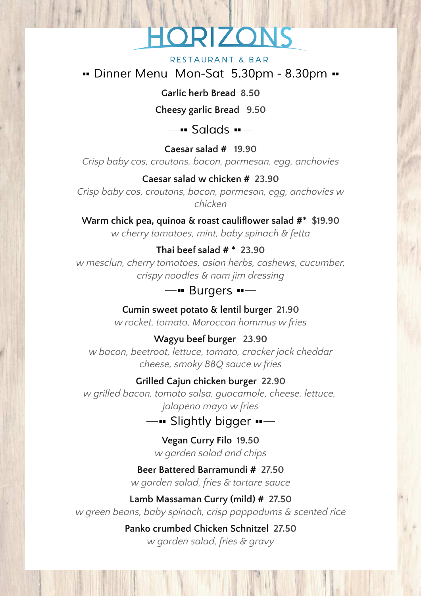# RIZON

#### RESTAURANT & BAR

*Dinner Menu Mon-Sat 5.30pm - 8.30pm*

**Garlic herb Bread 8.50**

**Cheesy garlic Bread 9.50**

*Salads*

**Caesar salad # 19.90** *Crisp baby cos, croutons, bacon, parmesan, egg, anchovies*

# **Caesar salad w chicken # 23.90**

*Crisp baby cos, croutons, bacon, parmesan, egg, anchovies w chicken*

**Warm chick pea, quinoa & roast cauliflower salad #\* \$19.90** *w cherry tomatoes, mint, baby spinach & fetta*

# **Thai beef salad # \* 23.90**

*w mesclun, cherry tomatoes, asian herbs, cashews, cucumber, crispy noodles & nam jim dressing*

### *Burgers*

**Cumin sweet potato & lentil burger 21.90**

*w rocket, tomato, Moroccan hommus w fries*

# **Wagyu beef burger 23.90**

*w bacon, beetroot, lettuce, tomato, cracker jack cheddar cheese, smoky BBQ sauce w fries*

# **Grilled Cajun chicken burger 22.90**

*w grilled bacon, tomato salsa, guacamole, cheese, lettuce, jalapeno mayo w fries*

# *Slightly bigger*

**Vegan Curry Filo 19.50** *w garden salad and chips*

#### **Beer Battered Barramundi # 27.50**

*w garden salad, fries & tartare sauce*

#### **Lamb Massaman Curry (mild) # 27.50**

*w green beans, baby spinach, crisp pappadums & scented rice*

**Panko crumbed Chicken Schnitzel 27.50** *w garden salad, fries & gravy*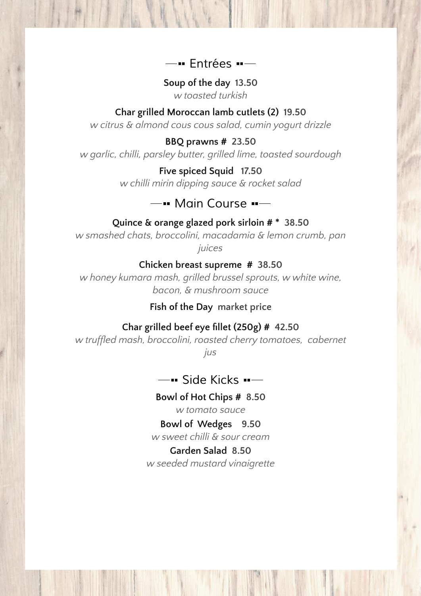# *Entrées*

**Soup of the day 13.50** *w toasted turkish*

#### **Char grilled Moroccan lamb cutlets (2) 19.50**

*w citrus & almond cous cous salad, cumin yogurt drizzle*

#### **BBQ prawns # 23.50**

*w garlic, chilli, parsley butter, grilled lime, toasted sourdough*

**Five spiced Squid 17.50** *w chilli mirin dipping sauce & rocket salad*

# *Main Course*

#### **Quince & orange glazed pork sirloin # \* 38.50**

*w smashed chats, broccolini, macadamia & lemon crumb, pan juices*

#### **Chicken breast supreme # 38.50**

*w honey kumara mash, grilled brussel sprouts, w white wine, bacon, & mushroom sauce*

#### **Fish of the Day market price**

#### **Char grilled beef eye fillet (250g) # 42.50**

*w truffled mash, broccolini, roasted cherry tomatoes, cabernet*

*jus*

**Bide Kicks**  $---$ 

#### **Bowl of Hot Chips # 8.50**

*w tomato sauce*

# **Bowl of Wedges 9.50**

*w sweet chilli & sour cream*

# **Garden Salad 8.50**

*w seeded mustard vinaigrette*